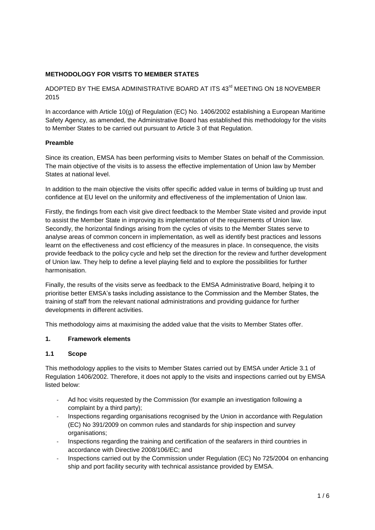# **METHODOLOGY FOR VISITS TO MEMBER STATES**

ADOPTED BY THE EMSA ADMINISTRATIVE BOARD AT ITS 43<sup>rd</sup> MEETING ON 18 NOVEMBER 2015

In accordance with Article 10(g) of Regulation (EC) No. 1406/2002 establishing a European Maritime Safety Agency, as amended, the Administrative Board has established this methodology for the visits to Member States to be carried out pursuant to Article 3 of that Regulation.

# **Preamble**

Since its creation, EMSA has been performing visits to Member States on behalf of the Commission. The main objective of the visits is to assess the effective implementation of Union law by Member States at national level.

In addition to the main objective the visits offer specific added value in terms of building up trust and confidence at EU level on the uniformity and effectiveness of the implementation of Union law.

Firstly, the findings from each visit give direct feedback to the Member State visited and provide input to assist the Member State in improving its implementation of the requirements of Union law. Secondly, the horizontal findings arising from the cycles of visits to the Member States serve to analyse areas of common concern in implementation, as well as identify best practices and lessons learnt on the effectiveness and cost efficiency of the measures in place. In consequence, the visits provide feedback to the policy cycle and help set the direction for the review and further development of Union law. They help to define a level playing field and to explore the possibilities for further harmonisation.

Finally, the results of the visits serve as feedback to the EMSA Administrative Board, helping it to prioritise better EMSA's tasks including assistance to the Commission and the Member States, the training of staff from the relevant national administrations and providing guidance for further developments in different activities.

This methodology aims at maximising the added value that the visits to Member States offer.

## **1. Framework elements**

## **1.1 Scope**

This methodology applies to the visits to Member States carried out by EMSA under Article 3.1 of Regulation 1406/2002. Therefore, it does not apply to the visits and inspections carried out by EMSA listed below:

- Ad hoc visits requested by the Commission (for example an investigation following a complaint by a third party);
- Inspections regarding organisations recognised by the Union in accordance with Regulation (EC) No 391/2009 on common rules and standards for ship inspection and survey organisations;
- Inspections regarding the training and certification of the seafarers in third countries in accordance with Directive 2008/106/EC; and
- Inspections carried out by the Commission under Regulation (EC) No 725/2004 on enhancing ship and port facility security with technical assistance provided by EMSA.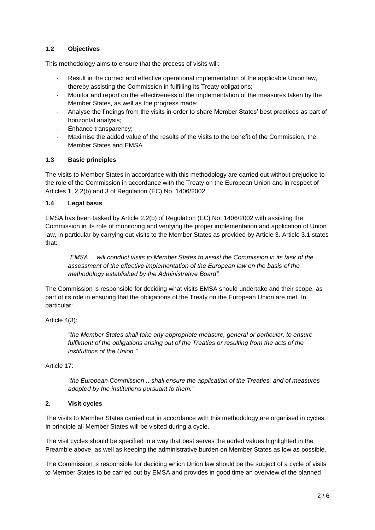# **1.2 Objectives**

This methodology aims to ensure that the process of visits will:

- Result in the correct and effective operational implementation of the applicable Union law, thereby assisting the Commission in fulfilling its Treaty obligations;
- Monitor and report on the effectiveness of the implementation of the measures taken by the Member States, as well as the progress made;
- Analyse the findings from the visits in order to share Member States' best practices as part of horizontal analysis;
- Enhance transparency;
- Maximise the added value of the results of the visits to the benefit of the Commission, the Member States and EMSA.

## **1.3 Basic principles**

The visits to Member States in accordance with this methodology are carried out without prejudice to the role of the Commission in accordance with the Treaty on the European Union and in respect of Articles 1, 2.2(b) and 3 of Regulation (EC) No. 1406/2002.

## **1.4 Legal basis**

EMSA has been tasked by Article 2.2(b) of Regulation (EC) No. 1406/2002 with assisting the Commission in its role of monitoring and verifying the proper implementation and application of Union law, in particular by carrying out visits to the Member States as provided by Article 3. Article 3.1 states that:

*"EMSA ... will conduct visits to Member States to assist the Commission in its task of the assessment of the effective implementation of the European law on the basis of the methodology established by the Administrative Board".*

The Commission is responsible for deciding what visits EMSA should undertake and their scope, as part of its role in ensuring that the obligations of the Treaty on the European Union are met, In particular:

Article 4(3):

*"the Member States shall take any appropriate measure, general or particular, to ensure fulfilment of the obligations arising out of the Treaties or resulting from the acts of the institutions of the Union."* 

Article 17:

*"the European Commission .. shall ensure the application of the Treaties, and of measures adopted by the institutions pursuant to them."*

## **2. Visit cycles**

The visits to Member States carried out in accordance with this methodology are organised in cycles. In principle all Member States will be visited during a cycle.

The visit cycles should be specified in a way that best serves the added values highlighted in the Preamble above, as well as keeping the administrative burden on Member States as low as possible.

The Commission is responsible for deciding which Union law should be the subject of a cycle of visits to Member States to be carried out by EMSA and provides in good time an overview of the planned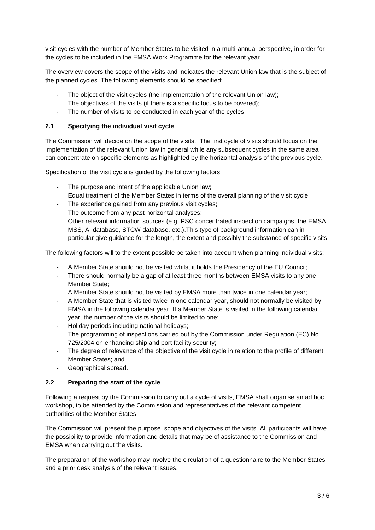visit cycles with the number of Member States to be visited in a multi-annual perspective, in order for the cycles to be included in the EMSA Work Programme for the relevant year.

The overview covers the scope of the visits and indicates the relevant Union law that is the subject of the planned cycles. The following elements should be specified:

- The object of the visit cycles (the implementation of the relevant Union law);
- The objectives of the visits (if there is a specific focus to be covered);
- The number of visits to be conducted in each year of the cycles.

## **2.1 Specifying the individual visit cycle**

The Commission will decide on the scope of the visits. The first cycle of visits should focus on the implementation of the relevant Union law in general while any subsequent cycles in the same area can concentrate on specific elements as highlighted by the horizontal analysis of the previous cycle.

Specification of the visit cycle is guided by the following factors:

- The purpose and intent of the applicable Union law;
- Equal treatment of the Member States in terms of the overall planning of the visit cycle;
- The experience gained from any previous visit cycles;
- The outcome from any past horizontal analyses;
- Other relevant information sources (e.g. PSC concentrated inspection campaigns, the EMSA MSS, AI database, STCW database, etc.).This type of background information can in particular give guidance for the length, the extent and possibly the substance of specific visits.

The following factors will to the extent possible be taken into account when planning individual visits:

- A Member State should not be visited whilst it holds the Presidency of the EU Council;
- There should normally be a gap of at least three months between EMSA visits to any one Member State;
- A Member State should not be visited by EMSA more than twice in one calendar year;
- A Member State that is visited twice in one calendar year, should not normally be visited by EMSA in the following calendar year. If a Member State is visited in the following calendar year, the number of the visits should be limited to one;
- Holiday periods including national holidays;
- The programming of inspections carried out by the Commission under Regulation (EC) No 725/2004 on enhancing ship and port facility security;
- The degree of relevance of the objective of the visit cycle in relation to the profile of different Member States; and
- Geographical spread.

# **2.2 Preparing the start of the cycle**

Following a request by the Commission to carry out a cycle of visits, EMSA shall organise an ad hoc workshop, to be attended by the Commission and representatives of the relevant competent authorities of the Member States.

The Commission will present the purpose, scope and objectives of the visits. All participants will have the possibility to provide information and details that may be of assistance to the Commission and EMSA when carrying out the visits.

The preparation of the workshop may involve the circulation of a questionnaire to the Member States and a prior desk analysis of the relevant issues.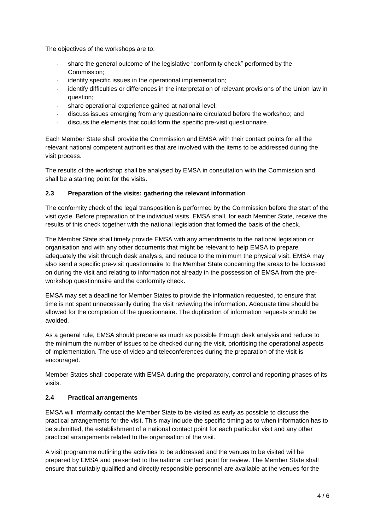The objectives of the workshops are to:

- share the general outcome of the legislative "conformity check" performed by the Commission;
- identify specific issues in the operational implementation;
- identify difficulties or differences in the interpretation of relevant provisions of the Union law in question;
- share operational experience gained at national level;
- discuss issues emerging from any questionnaire circulated before the workshop; and
- discuss the elements that could form the specific pre-visit questionnaire.

Each Member State shall provide the Commission and EMSA with their contact points for all the relevant national competent authorities that are involved with the items to be addressed during the visit process.

The results of the workshop shall be analysed by EMSA in consultation with the Commission and shall be a starting point for the visits.

# **2.3 Preparation of the visits: gathering the relevant information**

The conformity check of the legal transposition is performed by the Commission before the start of the visit cycle. Before preparation of the individual visits, EMSA shall, for each Member State, receive the results of this check together with the national legislation that formed the basis of the check.

The Member State shall timely provide EMSA with any amendments to the national legislation or organisation and with any other documents that might be relevant to help EMSA to prepare adequately the visit through desk analysis, and reduce to the minimum the physical visit. EMSA may also send a specific pre-visit questionnaire to the Member State concerning the areas to be focussed on during the visit and relating to information not already in the possession of EMSA from the preworkshop questionnaire and the conformity check.

EMSA may set a deadline for Member States to provide the information requested, to ensure that time is not spent unnecessarily during the visit reviewing the information. Adequate time should be allowed for the completion of the questionnaire. The duplication of information requests should be avoided.

As a general rule, EMSA should prepare as much as possible through desk analysis and reduce to the minimum the number of issues to be checked during the visit, prioritising the operational aspects of implementation. The use of video and teleconferences during the preparation of the visit is encouraged.

Member States shall cooperate with EMSA during the preparatory, control and reporting phases of its visits.

## **2.4 Practical arrangements**

EMSA will informally contact the Member State to be visited as early as possible to discuss the practical arrangements for the visit. This may include the specific timing as to when information has to be submitted, the establishment of a national contact point for each particular visit and any other practical arrangements related to the organisation of the visit.

A visit programme outlining the activities to be addressed and the venues to be visited will be prepared by EMSA and presented to the national contact point for review. The Member State shall ensure that suitably qualified and directly responsible personnel are available at the venues for the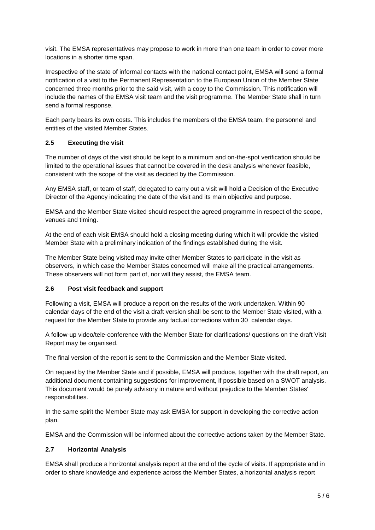visit. The EMSA representatives may propose to work in more than one team in order to cover more locations in a shorter time span.

Irrespective of the state of informal contacts with the national contact point, EMSA will send a formal notification of a visit to the Permanent Representation to the European Union of the Member State concerned three months prior to the said visit, with a copy to the Commission. This notification will include the names of the EMSA visit team and the visit programme. The Member State shall in turn send a formal response.

Each party bears its own costs. This includes the members of the EMSA team, the personnel and entities of the visited Member States.

# **2.5 Executing the visit**

The number of days of the visit should be kept to a minimum and on-the-spot verification should be limited to the operational issues that cannot be covered in the desk analysis whenever feasible, consistent with the scope of the visit as decided by the Commission.

Any EMSA staff, or team of staff, delegated to carry out a visit will hold a Decision of the Executive Director of the Agency indicating the date of the visit and its main objective and purpose.

EMSA and the Member State visited should respect the agreed programme in respect of the scope, venues and timing.

At the end of each visit EMSA should hold a closing meeting during which it will provide the visited Member State with a preliminary indication of the findings established during the visit.

The Member State being visited may invite other Member States to participate in the visit as observers, in which case the Member States concerned will make all the practical arrangements. These observers will not form part of, nor will they assist, the EMSA team.

## **2.6 Post visit feedback and support**

Following a visit, EMSA will produce a report on the results of the work undertaken. Within 90 calendar days of the end of the visit a draft version shall be sent to the Member State visited, with a request for the Member State to provide any factual corrections within 30 calendar days.

A follow-up video/tele-conference with the Member State for clarifications/ questions on the draft Visit Report may be organised.

The final version of the report is sent to the Commission and the Member State visited.

On request by the Member State and if possible, EMSA will produce, together with the draft report, an additional document containing suggestions for improvement, if possible based on a SWOT analysis. This document would be purely advisory in nature and without prejudice to the Member States' responsibilities.

In the same spirit the Member State may ask EMSA for support in developing the corrective action plan.

EMSA and the Commission will be informed about the corrective actions taken by the Member State.

## **2.7 Horizontal Analysis**

EMSA shall produce a horizontal analysis report at the end of the cycle of visits. If appropriate and in order to share knowledge and experience across the Member States, a horizontal analysis report